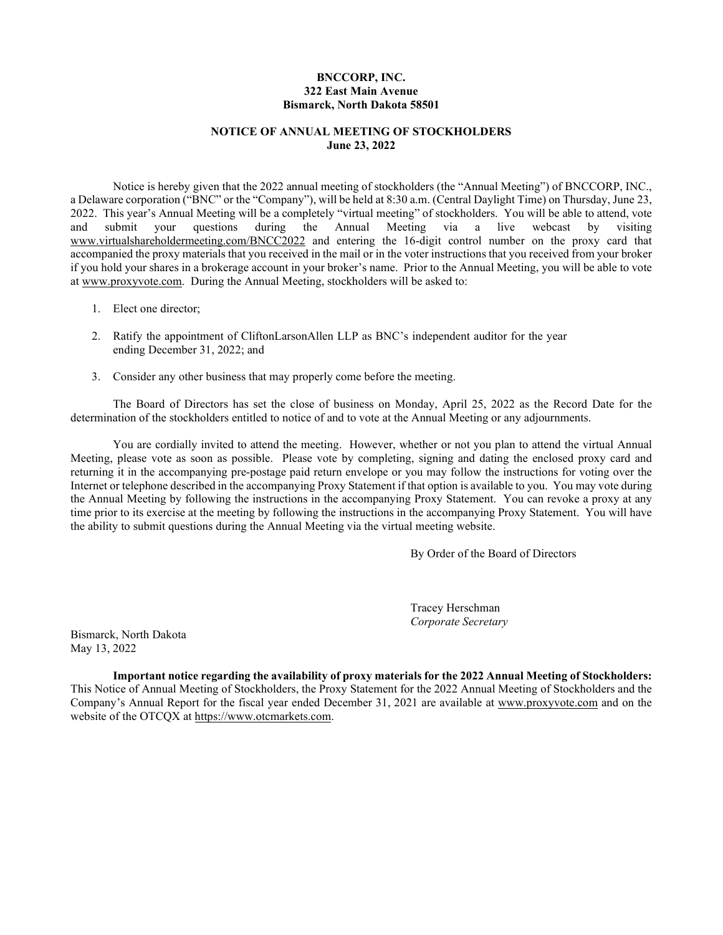# **BNCCORP, INC. 322 East Main Avenue Bismarck, North Dakota 58501**

# **NOTICE OF ANNUAL MEETING OF STOCKHOLDERS June 23, 2022**

Notice is hereby given that the 2022 annual meeting of stockholders (the "Annual Meeting") of BNCCORP, INC., a Delaware corporation ("BNC" or the "Company"), will be held at 8:30 a.m. (Central Daylight Time) on Thursday, June 23, 2022. This year's Annual Meeting will be a completely "virtual meeting" of stockholders. You will be able to attend, vote and submit your questions during the Annual Meeting via a live webcast by visiting www.virtualshareholdermeeting.com/BNCC2022 and entering the 16-digit control number on the proxy card that accompanied the proxy materials that you received in the mail or in the voter instructions that you received from your broker if you hold your shares in a brokerage account in your broker's name. Prior to the Annual Meeting, you will be able to vote at www.proxyvote.com. During the Annual Meeting, stockholders will be asked to:

- 1. Elect one director;
- 2. Ratify the appointment of CliftonLarsonAllen LLP as BNC's independent auditor for the year ending December 31, 2022; and
- 3. Consider any other business that may properly come before the meeting.

The Board of Directors has set the close of business on Monday, April 25, 2022 as the Record Date for the determination of the stockholders entitled to notice of and to vote at the Annual Meeting or any adjournments.

You are cordially invited to attend the meeting. However, whether or not you plan to attend the virtual Annual Meeting, please vote as soon as possible. Please vote by completing, signing and dating the enclosed proxy card and returning it in the accompanying pre-postage paid return envelope or you may follow the instructions for voting over the Internet or telephone described in the accompanying Proxy Statement if that option is available to you. You may vote during the Annual Meeting by following the instructions in the accompanying Proxy Statement. You can revoke a proxy at any time prior to its exercise at the meeting by following the instructions in the accompanying Proxy Statement. You will have the ability to submit questions during the Annual Meeting via the virtual meeting website.

By Order of the Board of Directors

Tracey Herschman *Corporate Secretary*

Bismarck, North Dakota May 13, 2022

**Important notice regarding the availability of proxy materials for the 2022 Annual Meeting of Stockholders:**  This Notice of Annual Meeting of Stockholders, the Proxy Statement for the 2022 Annual Meeting of Stockholders and the Company's Annual Report for the fiscal year ended December 31, 2021 are available at www.proxyvote.com and on the website of the OTCQX at https://www.otcmarkets.com.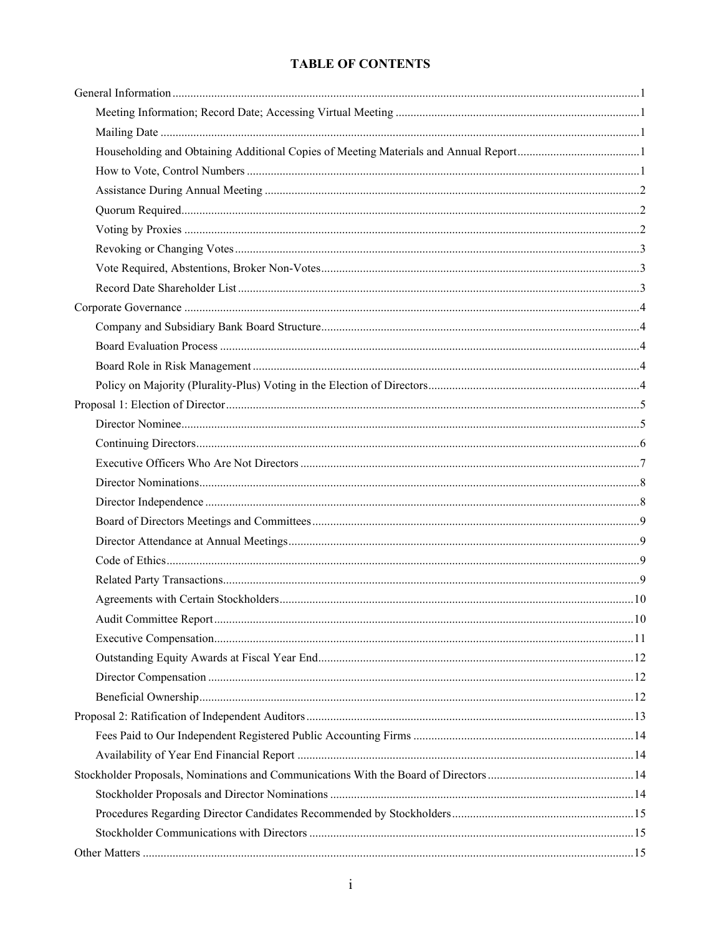# **TABLE OF CONTENTS**

| Householding and Obtaining Additional Copies of Meeting Materials and Annual Report1 |  |
|--------------------------------------------------------------------------------------|--|
|                                                                                      |  |
|                                                                                      |  |
|                                                                                      |  |
|                                                                                      |  |
|                                                                                      |  |
|                                                                                      |  |
|                                                                                      |  |
|                                                                                      |  |
|                                                                                      |  |
|                                                                                      |  |
|                                                                                      |  |
|                                                                                      |  |
|                                                                                      |  |
|                                                                                      |  |
|                                                                                      |  |
|                                                                                      |  |
|                                                                                      |  |
|                                                                                      |  |
|                                                                                      |  |
|                                                                                      |  |
|                                                                                      |  |
|                                                                                      |  |
|                                                                                      |  |
|                                                                                      |  |
|                                                                                      |  |
|                                                                                      |  |
|                                                                                      |  |
|                                                                                      |  |
|                                                                                      |  |
|                                                                                      |  |
|                                                                                      |  |
|                                                                                      |  |
|                                                                                      |  |
|                                                                                      |  |
|                                                                                      |  |
|                                                                                      |  |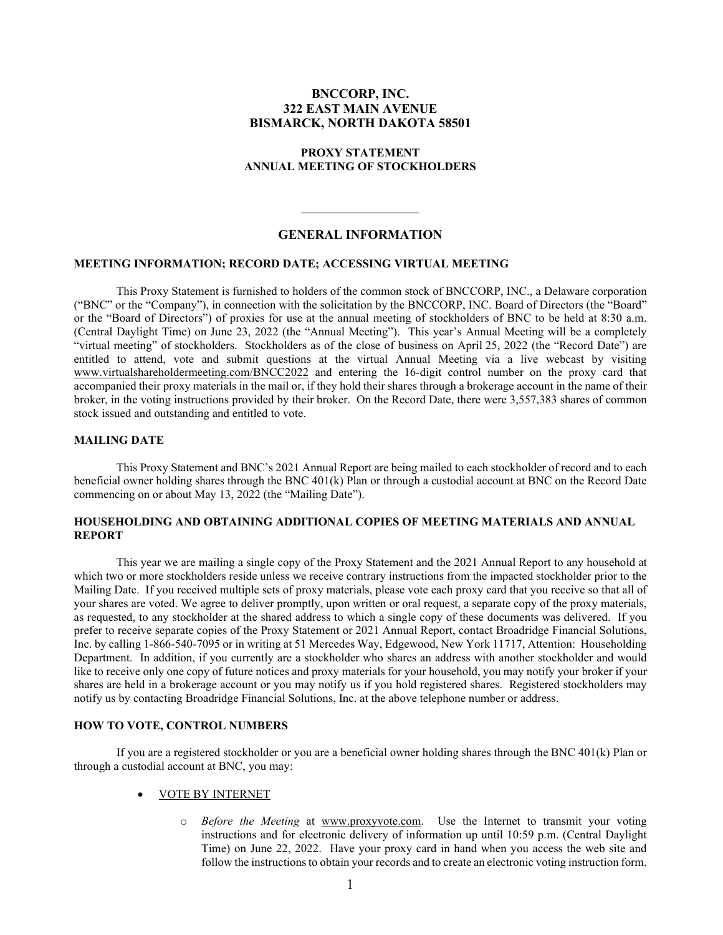# **BNCCORP, INC. 322 EAST MAIN AVENUE BISMARCK, NORTH DAKOTA 58501**

### **PROXY STATEMENT ANNUAL MEETING OF STOCKHOLDERS**

## **GENERAL INFORMATION**

 $\mathcal{L}=\mathcal{L}=\mathcal{L}=\mathcal{L}=\mathcal{L}=\mathcal{L}=\mathcal{L}=\mathcal{L}=\mathcal{L}=\mathcal{L}=\mathcal{L}=\mathcal{L}=\mathcal{L}=\mathcal{L}=\mathcal{L}=\mathcal{L}=\mathcal{L}=\mathcal{L}=\mathcal{L}=\mathcal{L}=\mathcal{L}=\mathcal{L}=\mathcal{L}=\mathcal{L}=\mathcal{L}=\mathcal{L}=\mathcal{L}=\mathcal{L}=\mathcal{L}=\mathcal{L}=\mathcal{L}=\mathcal{L}=\mathcal{L}=\mathcal{L}=\mathcal{L}=\mathcal{L}=\mathcal{$ 

### **MEETING INFORMATION; RECORD DATE; ACCESSING VIRTUAL MEETING**

This Proxy Statement is furnished to holders of the common stock of BNCCORP, INC., a Delaware corporation ("BNC" or the "Company"), in connection with the solicitation by the BNCCORP, INC. Board of Directors (the "Board" or the "Board of Directors") of proxies for use at the annual meeting of stockholders of BNC to be held at 8:30 a.m. (Central Daylight Time) on June 23, 2022 (the "Annual Meeting"). This year's Annual Meeting will be a completely "virtual meeting" of stockholders. Stockholders as of the close of business on April 25, 2022 (the "Record Date") are entitled to attend, vote and submit questions at the virtual Annual Meeting via a live webcast by visiting www.virtualshareholdermeeting.com/BNCC2022 and entering the 16-digit control number on the proxy card that accompanied their proxy materials in the mail or, if they hold their shares through a brokerage account in the name of their broker, in the voting instructions provided by their broker. On the Record Date, there were 3,557,383 shares of common stock issued and outstanding and entitled to vote.

## **MAILING DATE**

This Proxy Statement and BNC's 2021 Annual Report are being mailed to each stockholder of record and to each beneficial owner holding shares through the BNC 401(k) Plan or through a custodial account at BNC on the Record Date commencing on or about May 13, 2022 (the "Mailing Date").

# **HOUSEHOLDING AND OBTAINING ADDITIONAL COPIES OF MEETING MATERIALS AND ANNUAL REPORT**

This year we are mailing a single copy of the Proxy Statement and the 2021 Annual Report to any household at which two or more stockholders reside unless we receive contrary instructions from the impacted stockholder prior to the Mailing Date. If you received multiple sets of proxy materials, please vote each proxy card that you receive so that all of your shares are voted. We agree to deliver promptly, upon written or oral request, a separate copy of the proxy materials, as requested, to any stockholder at the shared address to which a single copy of these documents was delivered. If you prefer to receive separate copies of the Proxy Statement or 2021 Annual Report, contact Broadridge Financial Solutions, Inc. by calling 1-866-540-7095 or in writing at 51 Mercedes Way, Edgewood, New York 11717, Attention: Householding Department. In addition, if you currently are a stockholder who shares an address with another stockholder and would like to receive only one copy of future notices and proxy materials for your household, you may notify your broker if your shares are held in a brokerage account or you may notify us if you hold registered shares. Registered stockholders may notify us by contacting Broadridge Financial Solutions, Inc. at the above telephone number or address.

#### **HOW TO VOTE, CONTROL NUMBERS**

If you are a registered stockholder or you are a beneficial owner holding shares through the BNC 401(k) Plan or through a custodial account at BNC, you may:

## • VOTE BY INTERNET

o *Before the Meeting* at www.proxyvote.com. Use the Internet to transmit your voting instructions and for electronic delivery of information up until 10:59 p.m. (Central Daylight Time) on June 22, 2022. Have your proxy card in hand when you access the web site and follow the instructions to obtain your records and to create an electronic voting instruction form.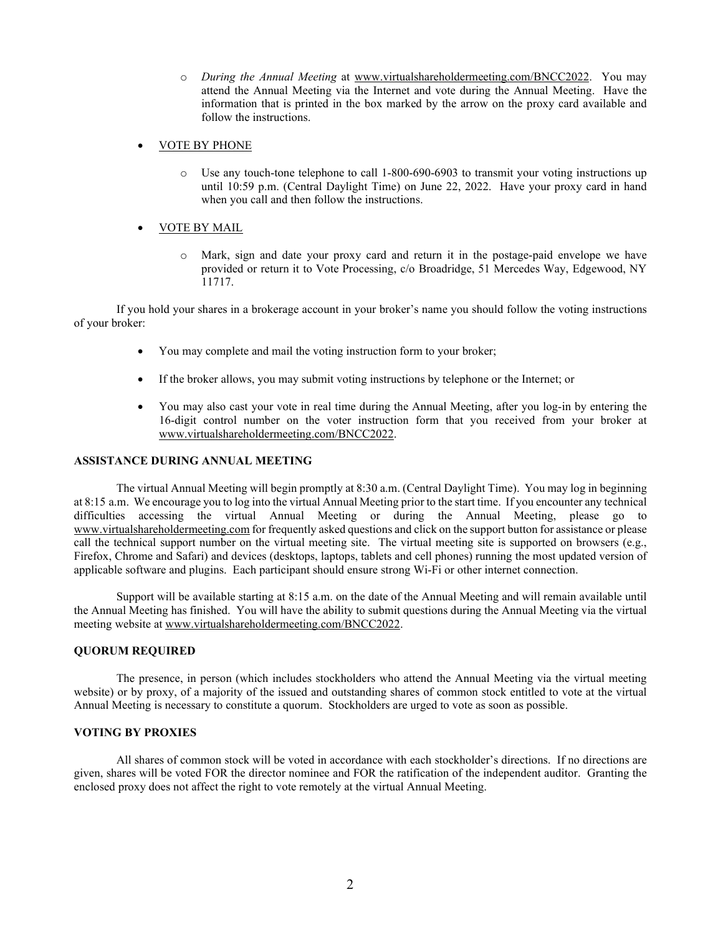- o *During the Annual Meeting* at www.virtualshareholdermeeting.com/BNCC2022. You may attend the Annual Meeting via the Internet and vote during the Annual Meeting. Have the information that is printed in the box marked by the arrow on the proxy card available and follow the instructions.
- VOTE BY PHONE
	- o Use any touch-tone telephone to call 1-800-690-6903 to transmit your voting instructions up until 10:59 p.m. (Central Daylight Time) on June 22, 2022. Have your proxy card in hand when you call and then follow the instructions.
- **VOTE BY MAIL** 
	- o Mark, sign and date your proxy card and return it in the postage-paid envelope we have provided or return it to Vote Processing, c/o Broadridge, 51 Mercedes Way, Edgewood, NY 11717.

If you hold your shares in a brokerage account in your broker's name you should follow the voting instructions of your broker:

- You may complete and mail the voting instruction form to your broker;
- If the broker allows, you may submit voting instructions by telephone or the Internet; or
- You may also cast your vote in real time during the Annual Meeting, after you log-in by entering the 16-digit control number on the voter instruction form that you received from your broker at www.virtualshareholdermeeting.com/BNCC2022.

# **ASSISTANCE DURING ANNUAL MEETING**

The virtual Annual Meeting will begin promptly at 8:30 a.m. (Central Daylight Time). You may log in beginning at 8:15 a.m. We encourage you to log into the virtual Annual Meeting prior to the start time. If you encounter any technical difficulties accessing the virtual Annual Meeting or during the Annual Meeting, please go to www.virtualshareholdermeeting.com for frequently asked questions and click on the support button for assistance or please call the technical support number on the virtual meeting site. The virtual meeting site is supported on browsers (e.g., Firefox, Chrome and Safari) and devices (desktops, laptops, tablets and cell phones) running the most updated version of applicable software and plugins. Each participant should ensure strong Wi-Fi or other internet connection.

Support will be available starting at 8:15 a.m. on the date of the Annual Meeting and will remain available until the Annual Meeting has finished. You will have the ability to submit questions during the Annual Meeting via the virtual meeting website at www.virtualshareholdermeeting.com/BNCC2022.

## **QUORUM REQUIRED**

The presence, in person (which includes stockholders who attend the Annual Meeting via the virtual meeting website) or by proxy, of a majority of the issued and outstanding shares of common stock entitled to vote at the virtual Annual Meeting is necessary to constitute a quorum. Stockholders are urged to vote as soon as possible.

## **VOTING BY PROXIES**

All shares of common stock will be voted in accordance with each stockholder's directions. If no directions are given, shares will be voted FOR the director nominee and FOR the ratification of the independent auditor. Granting the enclosed proxy does not affect the right to vote remotely at the virtual Annual Meeting.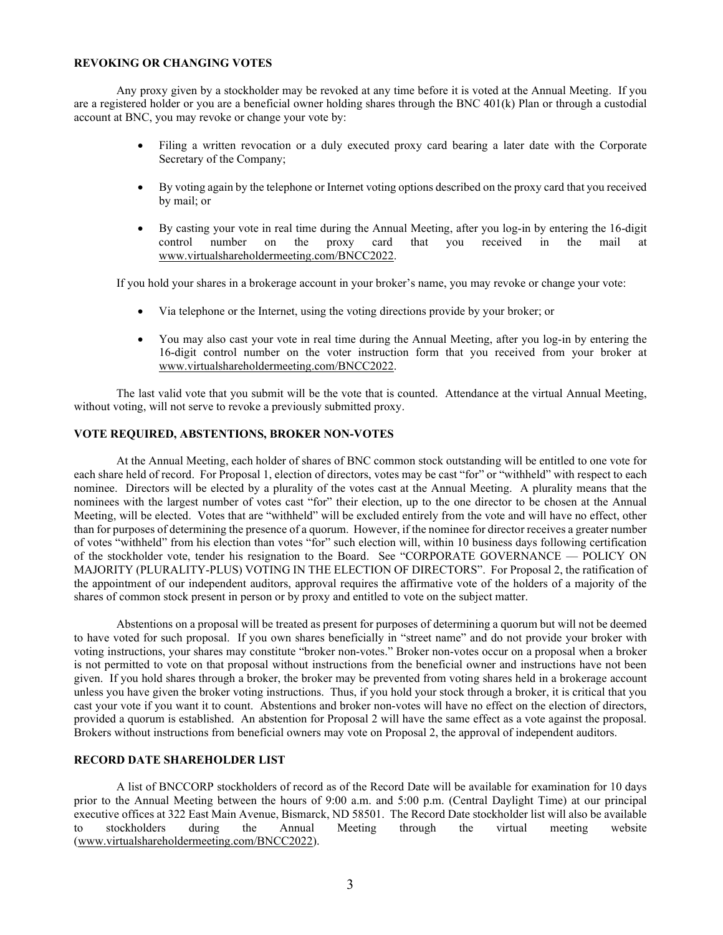#### **REVOKING OR CHANGING VOTES**

Any proxy given by a stockholder may be revoked at any time before it is voted at the Annual Meeting. If you are a registered holder or you are a beneficial owner holding shares through the BNC 401(k) Plan or through a custodial account at BNC, you may revoke or change your vote by:

- Filing a written revocation or a duly executed proxy card bearing a later date with the Corporate Secretary of the Company;
- By voting again by the telephone or Internet voting options described on the proxy card that you received by mail; or
- By casting your vote in real time during the Annual Meeting, after you log-in by entering the 16-digit control number on the proxy card that you received in the mail at www.virtualshareholdermeeting.com/BNCC2022.

If you hold your shares in a brokerage account in your broker's name, you may revoke or change your vote:

- Via telephone or the Internet, using the voting directions provide by your broker; or
- You may also cast your vote in real time during the Annual Meeting, after you log-in by entering the 16-digit control number on the voter instruction form that you received from your broker at www.virtualshareholdermeeting.com/BNCC2022.

The last valid vote that you submit will be the vote that is counted. Attendance at the virtual Annual Meeting, without voting, will not serve to revoke a previously submitted proxy.

# **VOTE REQUIRED, ABSTENTIONS, BROKER NON-VOTES**

At the Annual Meeting, each holder of shares of BNC common stock outstanding will be entitled to one vote for each share held of record. For Proposal 1, election of directors, votes may be cast "for" or "withheld" with respect to each nominee. Directors will be elected by a plurality of the votes cast at the Annual Meeting. A plurality means that the nominees with the largest number of votes cast "for" their election, up to the one director to be chosen at the Annual Meeting, will be elected. Votes that are "withheld" will be excluded entirely from the vote and will have no effect, other than for purposes of determining the presence of a quorum. However, if the nominee for director receives a greater number of votes "withheld" from his election than votes "for" such election will, within 10 business days following certification of the stockholder vote, tender his resignation to the Board. See "CORPORATE GOVERNANCE — POLICY ON MAJORITY (PLURALITY-PLUS) VOTING IN THE ELECTION OF DIRECTORS". For Proposal 2, the ratification of the appointment of our independent auditors, approval requires the affirmative vote of the holders of a majority of the shares of common stock present in person or by proxy and entitled to vote on the subject matter.

Abstentions on a proposal will be treated as present for purposes of determining a quorum but will not be deemed to have voted for such proposal. If you own shares beneficially in "street name" and do not provide your broker with voting instructions, your shares may constitute "broker non-votes." Broker non-votes occur on a proposal when a broker is not permitted to vote on that proposal without instructions from the beneficial owner and instructions have not been given. If you hold shares through a broker, the broker may be prevented from voting shares held in a brokerage account unless you have given the broker voting instructions. Thus, if you hold your stock through a broker, it is critical that you cast your vote if you want it to count. Abstentions and broker non-votes will have no effect on the election of directors, provided a quorum is established. An abstention for Proposal 2 will have the same effect as a vote against the proposal. Brokers without instructions from beneficial owners may vote on Proposal 2, the approval of independent auditors.

### **RECORD DATE SHAREHOLDER LIST**

A list of BNCCORP stockholders of record as of the Record Date will be available for examination for 10 days prior to the Annual Meeting between the hours of 9:00 a.m. and 5:00 p.m. (Central Daylight Time) at our principal executive offices at 322 East Main Avenue, Bismarck, ND 58501. The Record Date stockholder list will also be available to stockholders during the Annual Meeting through the virtual meeting website (www.virtualshareholdermeeting.com/BNCC2022).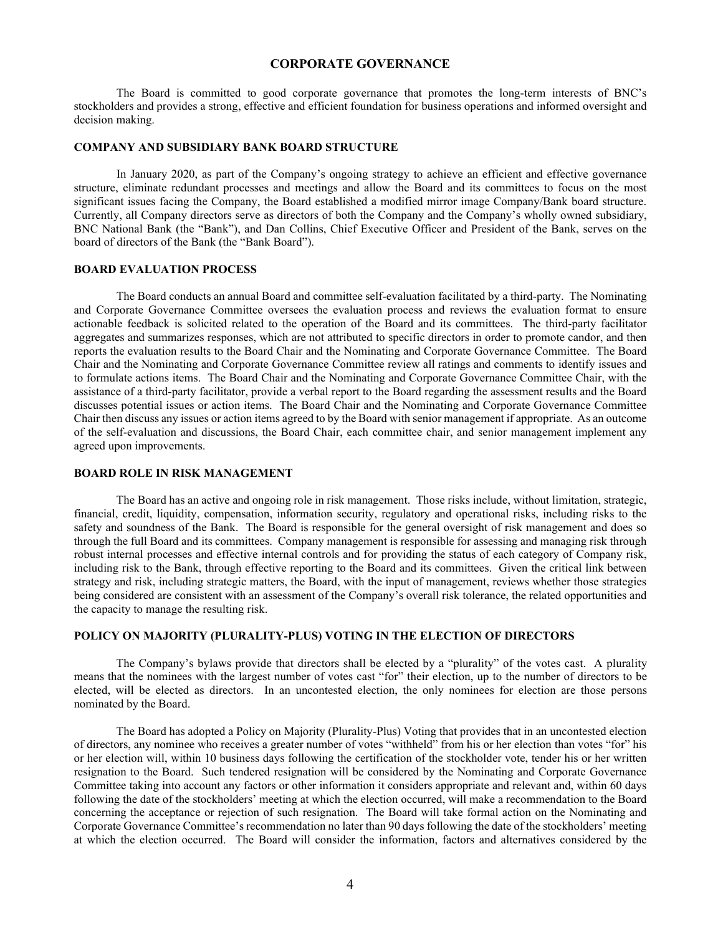#### **CORPORATE GOVERNANCE**

The Board is committed to good corporate governance that promotes the long-term interests of BNC's stockholders and provides a strong, effective and efficient foundation for business operations and informed oversight and decision making.

#### **COMPANY AND SUBSIDIARY BANK BOARD STRUCTURE**

In January 2020, as part of the Company's ongoing strategy to achieve an efficient and effective governance structure, eliminate redundant processes and meetings and allow the Board and its committees to focus on the most significant issues facing the Company, the Board established a modified mirror image Company/Bank board structure. Currently, all Company directors serve as directors of both the Company and the Company's wholly owned subsidiary, BNC National Bank (the "Bank"), and Dan Collins, Chief Executive Officer and President of the Bank, serves on the board of directors of the Bank (the "Bank Board").

#### **BOARD EVALUATION PROCESS**

The Board conducts an annual Board and committee self-evaluation facilitated by a third-party. The Nominating and Corporate Governance Committee oversees the evaluation process and reviews the evaluation format to ensure actionable feedback is solicited related to the operation of the Board and its committees. The third-party facilitator aggregates and summarizes responses, which are not attributed to specific directors in order to promote candor, and then reports the evaluation results to the Board Chair and the Nominating and Corporate Governance Committee. The Board Chair and the Nominating and Corporate Governance Committee review all ratings and comments to identify issues and to formulate actions items. The Board Chair and the Nominating and Corporate Governance Committee Chair, with the assistance of a third-party facilitator, provide a verbal report to the Board regarding the assessment results and the Board discusses potential issues or action items. The Board Chair and the Nominating and Corporate Governance Committee Chair then discuss any issues or action items agreed to by the Board with senior management if appropriate. As an outcome of the self-evaluation and discussions, the Board Chair, each committee chair, and senior management implement any agreed upon improvements.

#### **BOARD ROLE IN RISK MANAGEMENT**

The Board has an active and ongoing role in risk management. Those risks include, without limitation, strategic, financial, credit, liquidity, compensation, information security, regulatory and operational risks, including risks to the safety and soundness of the Bank. The Board is responsible for the general oversight of risk management and does so through the full Board and its committees. Company management is responsible for assessing and managing risk through robust internal processes and effective internal controls and for providing the status of each category of Company risk, including risk to the Bank, through effective reporting to the Board and its committees. Given the critical link between strategy and risk, including strategic matters, the Board, with the input of management, reviews whether those strategies being considered are consistent with an assessment of the Company's overall risk tolerance, the related opportunities and the capacity to manage the resulting risk.

#### **POLICY ON MAJORITY (PLURALITY-PLUS) VOTING IN THE ELECTION OF DIRECTORS**

The Company's bylaws provide that directors shall be elected by a "plurality" of the votes cast. A plurality means that the nominees with the largest number of votes cast "for" their election, up to the number of directors to be elected, will be elected as directors. In an uncontested election, the only nominees for election are those persons nominated by the Board.

The Board has adopted a Policy on Majority (Plurality-Plus) Voting that provides that in an uncontested election of directors, any nominee who receives a greater number of votes "withheld" from his or her election than votes "for" his or her election will, within 10 business days following the certification of the stockholder vote, tender his or her written resignation to the Board. Such tendered resignation will be considered by the Nominating and Corporate Governance Committee taking into account any factors or other information it considers appropriate and relevant and, within 60 days following the date of the stockholders' meeting at which the election occurred, will make a recommendation to the Board concerning the acceptance or rejection of such resignation. The Board will take formal action on the Nominating and Corporate Governance Committee's recommendation no later than 90 days following the date of the stockholders' meeting at which the election occurred. The Board will consider the information, factors and alternatives considered by the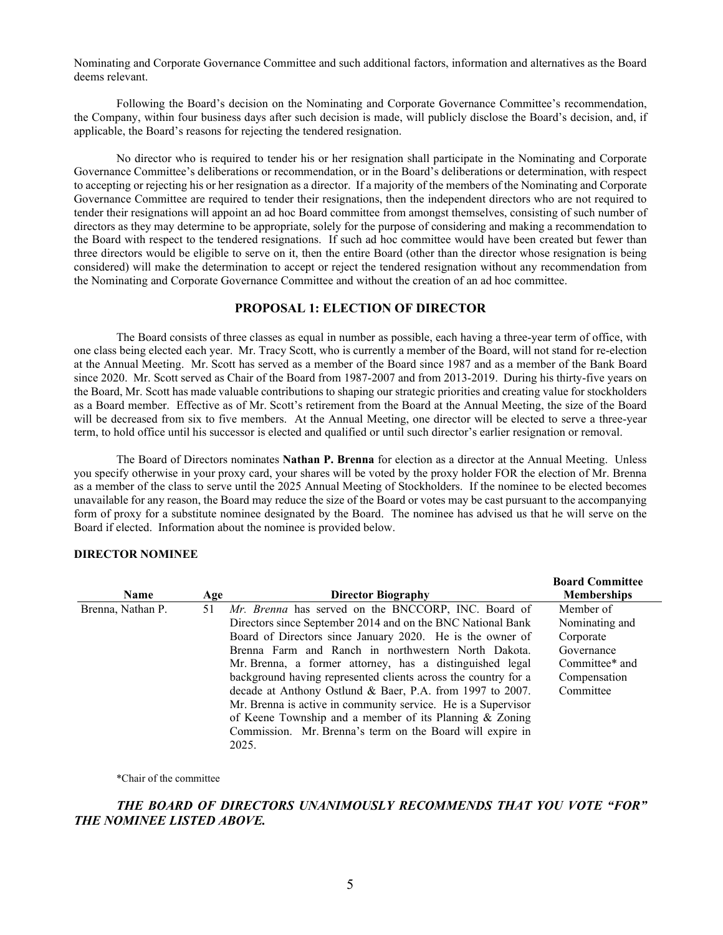Nominating and Corporate Governance Committee and such additional factors, information and alternatives as the Board deems relevant.

Following the Board's decision on the Nominating and Corporate Governance Committee's recommendation, the Company, within four business days after such decision is made, will publicly disclose the Board's decision, and, if applicable, the Board's reasons for rejecting the tendered resignation.

No director who is required to tender his or her resignation shall participate in the Nominating and Corporate Governance Committee's deliberations or recommendation, or in the Board's deliberations or determination, with respect to accepting or rejecting his or her resignation as a director. If a majority of the members of the Nominating and Corporate Governance Committee are required to tender their resignations, then the independent directors who are not required to tender their resignations will appoint an ad hoc Board committee from amongst themselves, consisting of such number of directors as they may determine to be appropriate, solely for the purpose of considering and making a recommendation to the Board with respect to the tendered resignations. If such ad hoc committee would have been created but fewer than three directors would be eligible to serve on it, then the entire Board (other than the director whose resignation is being considered) will make the determination to accept or reject the tendered resignation without any recommendation from the Nominating and Corporate Governance Committee and without the creation of an ad hoc committee.

## **PROPOSAL 1: ELECTION OF DIRECTOR**

The Board consists of three classes as equal in number as possible, each having a three-year term of office, with one class being elected each year. Mr. Tracy Scott, who is currently a member of the Board, will not stand for re-election at the Annual Meeting. Mr. Scott has served as a member of the Board since 1987 and as a member of the Bank Board since 2020. Mr. Scott served as Chair of the Board from 1987-2007 and from 2013-2019. During his thirty-five years on the Board, Mr. Scott has made valuable contributions to shaping our strategic priorities and creating value for stockholders as a Board member. Effective as of Mr. Scott's retirement from the Board at the Annual Meeting, the size of the Board will be decreased from six to five members. At the Annual Meeting, one director will be elected to serve a three-year term, to hold office until his successor is elected and qualified or until such director's earlier resignation or removal.

The Board of Directors nominates **Nathan P. Brenna** for election as a director at the Annual Meeting. Unless you specify otherwise in your proxy card, your shares will be voted by the proxy holder FOR the election of Mr. Brenna as a member of the class to serve until the 2025 Annual Meeting of Stockholders. If the nominee to be elected becomes unavailable for any reason, the Board may reduce the size of the Board or votes may be cast pursuant to the accompanying form of proxy for a substitute nominee designated by the Board. The nominee has advised us that he will serve on the Board if elected. Information about the nominee is provided below.

#### **DIRECTOR NOMINEE**

|                   |     |                                                                | <b>Board Committee</b> |
|-------------------|-----|----------------------------------------------------------------|------------------------|
| Name              | Age | <b>Director Biography</b>                                      | <b>Memberships</b>     |
| Brenna, Nathan P. | 51  | Mr. Brenna has served on the BNCCORP, INC. Board of            | Member of              |
|                   |     | Directors since September 2014 and on the BNC National Bank    | Nominating and         |
|                   |     | Board of Directors since January 2020. He is the owner of      | Corporate              |
|                   |     | Brenna Farm and Ranch in northwestern North Dakota.            | Governance             |
|                   |     | Mr. Brenna, a former attorney, has a distinguished legal       | Committee* and         |
|                   |     | background having represented clients across the country for a | Compensation           |
|                   |     | decade at Anthony Ostlund & Baer, P.A. from 1997 to 2007.      | Committee              |
|                   |     | Mr. Brenna is active in community service. He is a Supervisor  |                        |
|                   |     | of Keene Township and a member of its Planning $&$ Zoning      |                        |
|                   |     | Commission. Mr. Brenna's term on the Board will expire in      |                        |
|                   |     | 2025.                                                          |                        |

\*Chair of the committee

# *THE BOARD OF DIRECTORS UNANIMOUSLY RECOMMENDS THAT YOU VOTE "FOR" THE NOMINEE LISTED ABOVE.*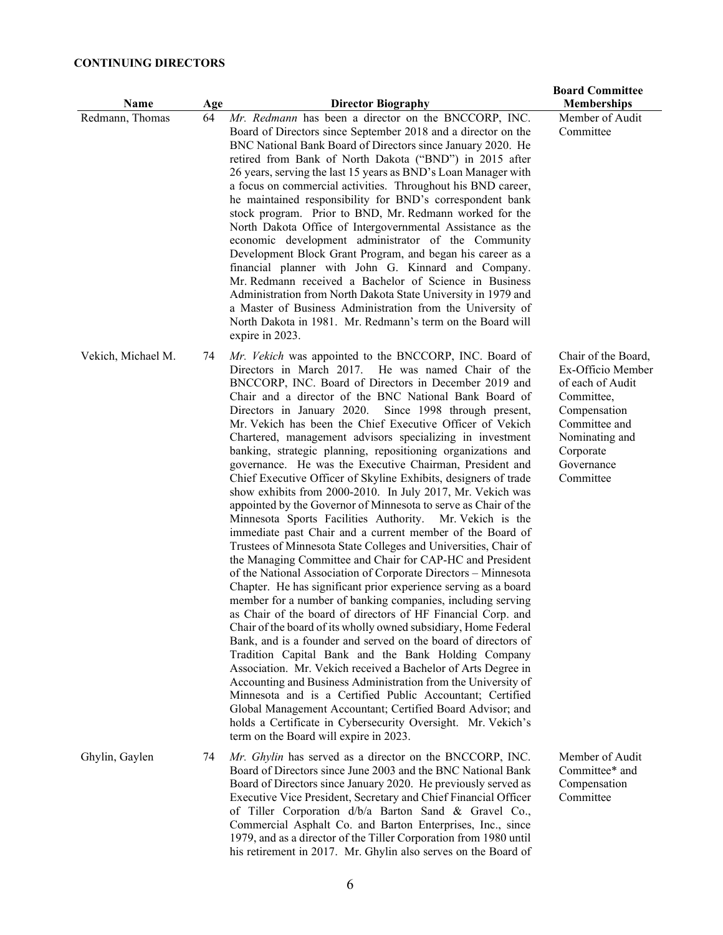# **CONTINUING DIRECTORS**

| Name               | Age | <b>Director Biography</b>                                                                                                                                                                                                                                                                                                                                                                                                                                                                                                                                                                                                                                                                                                                                                                                                                                                                                                                                                                                                                                                                                                                                                                                                                                                                                                                                                                                                                                                                                                                                                                                                                                                                                                                                                                                                                           | <b>Board Committee</b><br><b>Memberships</b>                                                                                                                          |
|--------------------|-----|-----------------------------------------------------------------------------------------------------------------------------------------------------------------------------------------------------------------------------------------------------------------------------------------------------------------------------------------------------------------------------------------------------------------------------------------------------------------------------------------------------------------------------------------------------------------------------------------------------------------------------------------------------------------------------------------------------------------------------------------------------------------------------------------------------------------------------------------------------------------------------------------------------------------------------------------------------------------------------------------------------------------------------------------------------------------------------------------------------------------------------------------------------------------------------------------------------------------------------------------------------------------------------------------------------------------------------------------------------------------------------------------------------------------------------------------------------------------------------------------------------------------------------------------------------------------------------------------------------------------------------------------------------------------------------------------------------------------------------------------------------------------------------------------------------------------------------------------------------|-----------------------------------------------------------------------------------------------------------------------------------------------------------------------|
| Redmann, Thomas    | 64  | Mr. Redmann has been a director on the BNCCORP, INC.<br>Board of Directors since September 2018 and a director on the<br>BNC National Bank Board of Directors since January 2020. He<br>retired from Bank of North Dakota ("BND") in 2015 after<br>26 years, serving the last 15 years as BND's Loan Manager with<br>a focus on commercial activities. Throughout his BND career,<br>he maintained responsibility for BND's correspondent bank<br>stock program. Prior to BND, Mr. Redmann worked for the<br>North Dakota Office of Intergovernmental Assistance as the<br>economic development administrator of the Community<br>Development Block Grant Program, and began his career as a<br>financial planner with John G. Kinnard and Company.<br>Mr. Redmann received a Bachelor of Science in Business<br>Administration from North Dakota State University in 1979 and<br>a Master of Business Administration from the University of<br>North Dakota in 1981. Mr. Redmann's term on the Board will<br>expire in 2023.                                                                                                                                                                                                                                                                                                                                                                                                                                                                                                                                                                                                                                                                                                                                                                                                                       | Member of Audit<br>Committee                                                                                                                                          |
| Vekich, Michael M. | 74  | Mr. Vekich was appointed to the BNCCORP, INC. Board of<br>Directors in March 2017. He was named Chair of the<br>BNCCORP, INC. Board of Directors in December 2019 and<br>Chair and a director of the BNC National Bank Board of<br>Directors in January 2020. Since 1998 through present,<br>Mr. Vekich has been the Chief Executive Officer of Vekich<br>Chartered, management advisors specializing in investment<br>banking, strategic planning, repositioning organizations and<br>governance. He was the Executive Chairman, President and<br>Chief Executive Officer of Skyline Exhibits, designers of trade<br>show exhibits from 2000-2010. In July 2017, Mr. Vekich was<br>appointed by the Governor of Minnesota to serve as Chair of the<br>Minnesota Sports Facilities Authority. Mr. Vekich is the<br>immediate past Chair and a current member of the Board of<br>Trustees of Minnesota State Colleges and Universities, Chair of<br>the Managing Committee and Chair for CAP-HC and President<br>of the National Association of Corporate Directors - Minnesota<br>Chapter. He has significant prior experience serving as a board<br>member for a number of banking companies, including serving<br>as Chair of the board of directors of HF Financial Corp. and<br>Chair of the board of its wholly owned subsidiary, Home Federal<br>Bank, and is a founder and served on the board of directors of<br>Tradition Capital Bank and the Bank Holding Company<br>Association. Mr. Vekich received a Bachelor of Arts Degree in<br>Accounting and Business Administration from the University of<br>Minnesota and is a Certified Public Accountant; Certified<br>Global Management Accountant; Certified Board Advisor; and<br>holds a Certificate in Cybersecurity Oversight. Mr. Vekich's<br>term on the Board will expire in 2023. | Chair of the Board,<br>Ex-Officio Member<br>of each of Audit<br>Committee,<br>Compensation<br>Committee and<br>Nominating and<br>Corporate<br>Governance<br>Committee |
| Ghylin, Gaylen     | 74  | Mr. Ghylin has served as a director on the BNCCORP, INC.<br>Board of Directors since June 2003 and the BNC National Bank<br>Board of Directors since January 2020. He previously served as<br>Executive Vice President, Secretary and Chief Financial Officer<br>of Tiller Corporation d/b/a Barton Sand & Gravel Co.,<br>Commercial Asphalt Co. and Barton Enterprises, Inc., since<br>1979, and as a director of the Tiller Corporation from 1980 until                                                                                                                                                                                                                                                                                                                                                                                                                                                                                                                                                                                                                                                                                                                                                                                                                                                                                                                                                                                                                                                                                                                                                                                                                                                                                                                                                                                           | Member of Audit<br>Committee* and<br>Compensation<br>Committee                                                                                                        |

his retirement in 2017. Mr. Ghylin also serves on the Board of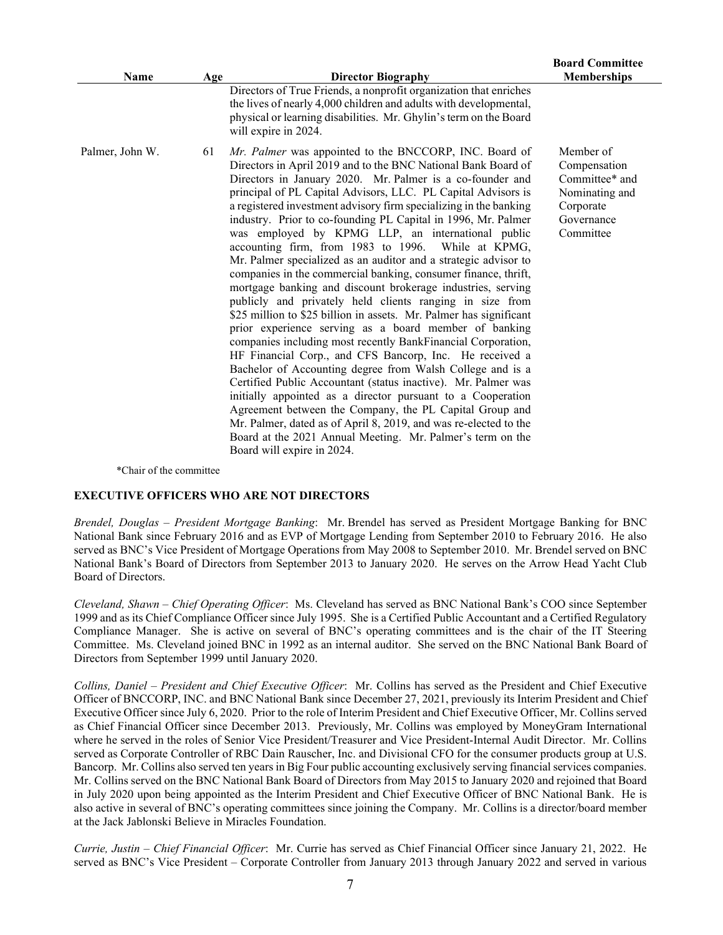|                 |     |                                                                                                                                                                                                                                                                                                                                                                                                                                                                                                                                                                                                                                                                                                                                                                                                                                                                                                                                                                                                                                                                                                                                                                                                                                                                                                                                                                                                                                                          | <b>Board Committee</b>                                                                                |
|-----------------|-----|----------------------------------------------------------------------------------------------------------------------------------------------------------------------------------------------------------------------------------------------------------------------------------------------------------------------------------------------------------------------------------------------------------------------------------------------------------------------------------------------------------------------------------------------------------------------------------------------------------------------------------------------------------------------------------------------------------------------------------------------------------------------------------------------------------------------------------------------------------------------------------------------------------------------------------------------------------------------------------------------------------------------------------------------------------------------------------------------------------------------------------------------------------------------------------------------------------------------------------------------------------------------------------------------------------------------------------------------------------------------------------------------------------------------------------------------------------|-------------------------------------------------------------------------------------------------------|
| Name            | Age | <b>Director Biography</b>                                                                                                                                                                                                                                                                                                                                                                                                                                                                                                                                                                                                                                                                                                                                                                                                                                                                                                                                                                                                                                                                                                                                                                                                                                                                                                                                                                                                                                | <b>Memberships</b>                                                                                    |
|                 |     | Directors of True Friends, a nonprofit organization that enriches<br>the lives of nearly 4,000 children and adults with developmental,<br>physical or learning disabilities. Mr. Ghylin's term on the Board<br>will expire in 2024.                                                                                                                                                                                                                                                                                                                                                                                                                                                                                                                                                                                                                                                                                                                                                                                                                                                                                                                                                                                                                                                                                                                                                                                                                      |                                                                                                       |
| Palmer, John W. | 61  | Mr. Palmer was appointed to the BNCCORP, INC. Board of<br>Directors in April 2019 and to the BNC National Bank Board of<br>Directors in January 2020. Mr. Palmer is a co-founder and<br>principal of PL Capital Advisors, LLC. PL Capital Advisors is<br>a registered investment advisory firm specializing in the banking<br>industry. Prior to co-founding PL Capital in 1996, Mr. Palmer<br>was employed by KPMG LLP, an international public<br>accounting firm, from 1983 to 1996. While at KPMG,<br>Mr. Palmer specialized as an auditor and a strategic advisor to<br>companies in the commercial banking, consumer finance, thrift,<br>mortgage banking and discount brokerage industries, serving<br>publicly and privately held clients ranging in size from<br>\$25 million to \$25 billion in assets. Mr. Palmer has significant<br>prior experience serving as a board member of banking<br>companies including most recently BankFinancial Corporation,<br>HF Financial Corp., and CFS Bancorp, Inc. He received a<br>Bachelor of Accounting degree from Walsh College and is a<br>Certified Public Accountant (status inactive). Mr. Palmer was<br>initially appointed as a director pursuant to a Cooperation<br>Agreement between the Company, the PL Capital Group and<br>Mr. Palmer, dated as of April 8, 2019, and was re-elected to the<br>Board at the 2021 Annual Meeting. Mr. Palmer's term on the<br>Board will expire in 2024. | Member of<br>Compensation<br>Committee* and<br>Nominating and<br>Corporate<br>Governance<br>Committee |

\*Chair of the committee

#### **EXECUTIVE OFFICERS WHO ARE NOT DIRECTORS**

*Brendel, Douglas – President Mortgage Banking*: Mr. Brendel has served as President Mortgage Banking for BNC National Bank since February 2016 and as EVP of Mortgage Lending from September 2010 to February 2016. He also served as BNC's Vice President of Mortgage Operations from May 2008 to September 2010. Mr. Brendel served on BNC National Bank's Board of Directors from September 2013 to January 2020. He serves on the Arrow Head Yacht Club Board of Directors.

*Cleveland, Shawn* – *Chief Operating Officer*: Ms. Cleveland has served as BNC National Bank's COO since September 1999 and as its Chief Compliance Officer since July 1995. She is a Certified Public Accountant and a Certified Regulatory Compliance Manager. She is active on several of BNC's operating committees and is the chair of the IT Steering Committee. Ms. Cleveland joined BNC in 1992 as an internal auditor. She served on the BNC National Bank Board of Directors from September 1999 until January 2020.

*Collins, Daniel – President and Chief Executive Officer*: Mr. Collins has served as the President and Chief Executive Officer of BNCCORP, INC. and BNC National Bank since December 27, 2021, previously its Interim President and Chief Executive Officer since July 6, 2020. Prior to the role of Interim President and Chief Executive Officer, Mr. Collins served as Chief Financial Officer since December 2013. Previously, Mr. Collins was employed by MoneyGram International where he served in the roles of Senior Vice President/Treasurer and Vice President-Internal Audit Director. Mr. Collins served as Corporate Controller of RBC Dain Rauscher, Inc. and Divisional CFO for the consumer products group at U.S. Bancorp. Mr. Collins also served ten years in Big Four public accounting exclusively serving financial services companies. Mr. Collins served on the BNC National Bank Board of Directors from May 2015 to January 2020 and rejoined that Board in July 2020 upon being appointed as the Interim President and Chief Executive Officer of BNC National Bank. He is also active in several of BNC's operating committees since joining the Company. Mr. Collins is a director/board member at the Jack Jablonski Believe in Miracles Foundation.

*Currie, Justin – Chief Financial Officer*: Mr. Currie has served as Chief Financial Officer since January 21, 2022. He served as BNC's Vice President – Corporate Controller from January 2013 through January 2022 and served in various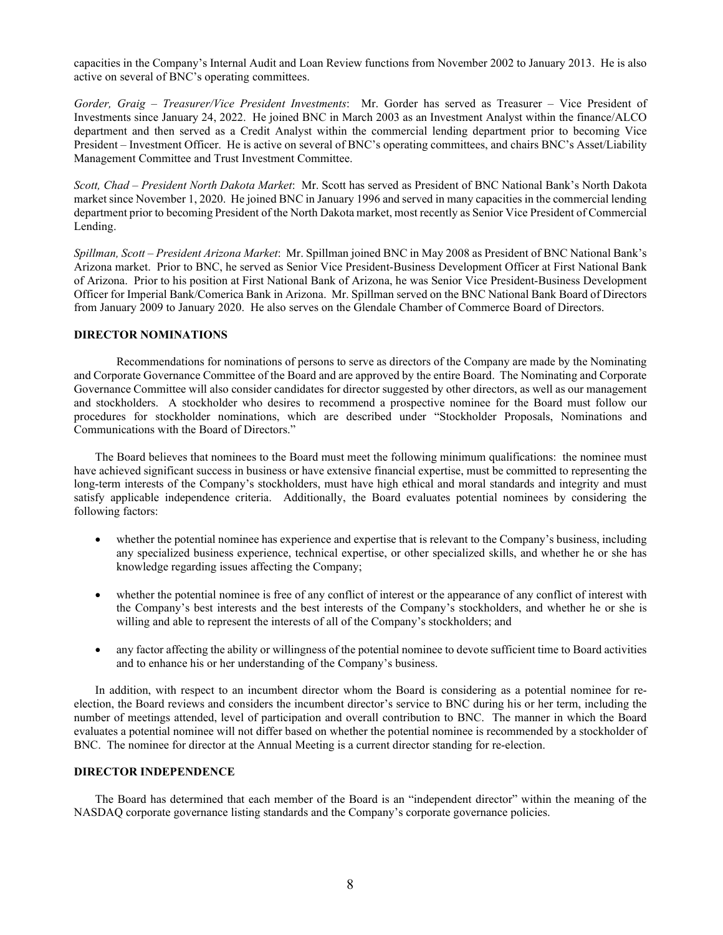capacities in the Company's Internal Audit and Loan Review functions from November 2002 to January 2013. He is also active on several of BNC's operating committees.

*Gorder, Graig – Treasurer/Vice President Investments*: Mr. Gorder has served as Treasurer – Vice President of Investments since January 24, 2022. He joined BNC in March 2003 as an Investment Analyst within the finance/ALCO department and then served as a Credit Analyst within the commercial lending department prior to becoming Vice President – Investment Officer. He is active on several of BNC's operating committees, and chairs BNC's Asset/Liability Management Committee and Trust Investment Committee.

*Scott, Chad – President North Dakota Market*: Mr. Scott has served as President of BNC National Bank's North Dakota market since November 1, 2020. He joined BNC in January 1996 and served in many capacities in the commercial lending department prior to becoming President of the North Dakota market, most recently as Senior Vice President of Commercial Lending.

*Spillman, Scott – President Arizona Market*: Mr. Spillman joined BNC in May 2008 as President of BNC National Bank's Arizona market. Prior to BNC, he served as Senior Vice President-Business Development Officer at First National Bank of Arizona. Prior to his position at First National Bank of Arizona, he was Senior Vice President-Business Development Officer for Imperial Bank/Comerica Bank in Arizona. Mr. Spillman served on the BNC National Bank Board of Directors from January 2009 to January 2020. He also serves on the Glendale Chamber of Commerce Board of Directors.

### **DIRECTOR NOMINATIONS**

Recommendations for nominations of persons to serve as directors of the Company are made by the Nominating and Corporate Governance Committee of the Board and are approved by the entire Board. The Nominating and Corporate Governance Committee will also consider candidates for director suggested by other directors, as well as our management and stockholders. A stockholder who desires to recommend a prospective nominee for the Board must follow our procedures for stockholder nominations, which are described under "Stockholder Proposals, Nominations and Communications with the Board of Directors."

The Board believes that nominees to the Board must meet the following minimum qualifications: the nominee must have achieved significant success in business or have extensive financial expertise, must be committed to representing the long-term interests of the Company's stockholders, must have high ethical and moral standards and integrity and must satisfy applicable independence criteria. Additionally, the Board evaluates potential nominees by considering the following factors:

- whether the potential nominee has experience and expertise that is relevant to the Company's business, including any specialized business experience, technical expertise, or other specialized skills, and whether he or she has knowledge regarding issues affecting the Company;
- whether the potential nominee is free of any conflict of interest or the appearance of any conflict of interest with the Company's best interests and the best interests of the Company's stockholders, and whether he or she is willing and able to represent the interests of all of the Company's stockholders; and
- any factor affecting the ability or willingness of the potential nominee to devote sufficient time to Board activities and to enhance his or her understanding of the Company's business.

In addition, with respect to an incumbent director whom the Board is considering as a potential nominee for reelection, the Board reviews and considers the incumbent director's service to BNC during his or her term, including the number of meetings attended, level of participation and overall contribution to BNC. The manner in which the Board evaluates a potential nominee will not differ based on whether the potential nominee is recommended by a stockholder of BNC. The nominee for director at the Annual Meeting is a current director standing for re-election.

#### **DIRECTOR INDEPENDENCE**

The Board has determined that each member of the Board is an "independent director" within the meaning of the NASDAQ corporate governance listing standards and the Company's corporate governance policies.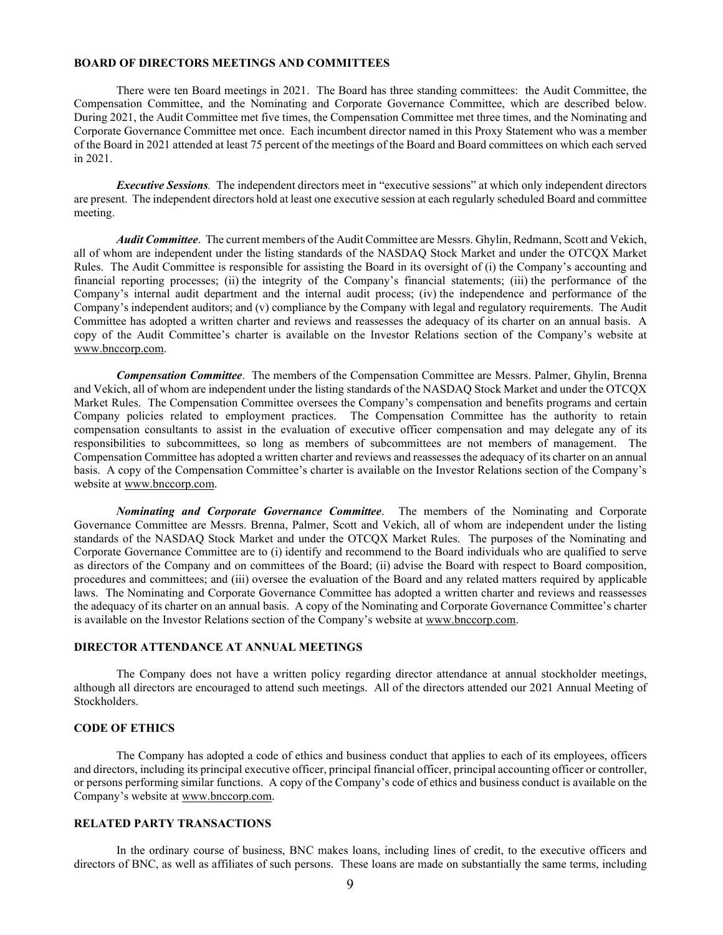#### **BOARD OF DIRECTORS MEETINGS AND COMMITTEES**

There were ten Board meetings in 2021. The Board has three standing committees: the Audit Committee, the Compensation Committee, and the Nominating and Corporate Governance Committee, which are described below. During 2021, the Audit Committee met five times, the Compensation Committee met three times, and the Nominating and Corporate Governance Committee met once. Each incumbent director named in this Proxy Statement who was a member of the Board in 2021 attended at least 75 percent of the meetings of the Board and Board committees on which each served in 2021.

*Executive Sessions.* The independent directors meet in "executive sessions" at which only independent directors are present. The independent directors hold at least one executive session at each regularly scheduled Board and committee meeting.

*Audit Committee*. The current members of the Audit Committee are Messrs. Ghylin, Redmann, Scott and Vekich, all of whom are independent under the listing standards of the NASDAQ Stock Market and under the OTCQX Market Rules. The Audit Committee is responsible for assisting the Board in its oversight of (i) the Company's accounting and financial reporting processes; (ii) the integrity of the Company's financial statements; (iii) the performance of the Company's internal audit department and the internal audit process; (iv) the independence and performance of the Company's independent auditors; and (v) compliance by the Company with legal and regulatory requirements. The Audit Committee has adopted a written charter and reviews and reassesses the adequacy of its charter on an annual basis. A copy of the Audit Committee's charter is available on the Investor Relations section of the Company's website at www.bnccorp.com.

*Compensation Committee*. The members of the Compensation Committee are Messrs. Palmer, Ghylin, Brenna and Vekich, all of whom are independent under the listing standards of the NASDAQ Stock Market and under the OTCQX Market Rules. The Compensation Committee oversees the Company's compensation and benefits programs and certain Company policies related to employment practices. The Compensation Committee has the authority to retain compensation consultants to assist in the evaluation of executive officer compensation and may delegate any of its responsibilities to subcommittees, so long as members of subcommittees are not members of management. The Compensation Committee has adopted a written charter and reviews and reassesses the adequacy of its charter on an annual basis. A copy of the Compensation Committee's charter is available on the Investor Relations section of the Company's website at www.bnccorp.com.

*Nominating and Corporate Governance Committee*. The members of the Nominating and Corporate Governance Committee are Messrs. Brenna, Palmer, Scott and Vekich, all of whom are independent under the listing standards of the NASDAQ Stock Market and under the OTCQX Market Rules. The purposes of the Nominating and Corporate Governance Committee are to (i) identify and recommend to the Board individuals who are qualified to serve as directors of the Company and on committees of the Board; (ii) advise the Board with respect to Board composition, procedures and committees; and (iii) oversee the evaluation of the Board and any related matters required by applicable laws. The Nominating and Corporate Governance Committee has adopted a written charter and reviews and reassesses the adequacy of its charter on an annual basis. A copy of the Nominating and Corporate Governance Committee's charter is available on the Investor Relations section of the Company's website at www.bnccorp.com.

#### **DIRECTOR ATTENDANCE AT ANNUAL MEETINGS**

The Company does not have a written policy regarding director attendance at annual stockholder meetings, although all directors are encouraged to attend such meetings. All of the directors attended our 2021 Annual Meeting of Stockholders.

### **CODE OF ETHICS**

The Company has adopted a code of ethics and business conduct that applies to each of its employees, officers and directors, including its principal executive officer, principal financial officer, principal accounting officer or controller, or persons performing similar functions. A copy of the Company's code of ethics and business conduct is available on the Company's website at www.bnccorp.com.

## **RELATED PARTY TRANSACTIONS**

In the ordinary course of business, BNC makes loans, including lines of credit, to the executive officers and directors of BNC, as well as affiliates of such persons. These loans are made on substantially the same terms, including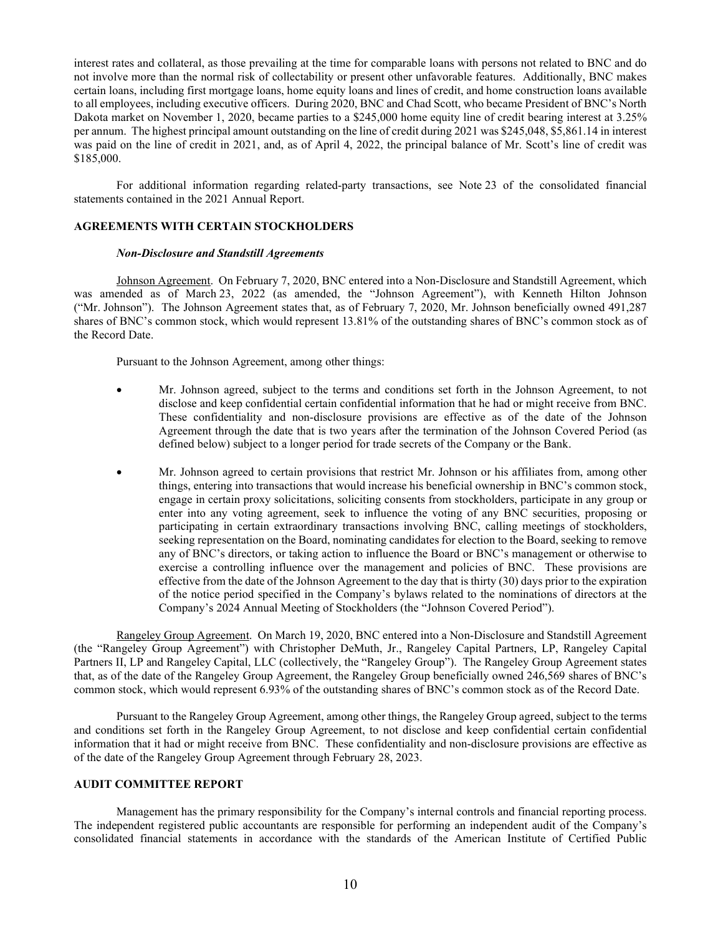interest rates and collateral, as those prevailing at the time for comparable loans with persons not related to BNC and do not involve more than the normal risk of collectability or present other unfavorable features. Additionally, BNC makes certain loans, including first mortgage loans, home equity loans and lines of credit, and home construction loans available to all employees, including executive officers. During 2020, BNC and Chad Scott, who became President of BNC's North Dakota market on November 1, 2020, became parties to a \$245,000 home equity line of credit bearing interest at 3.25% per annum. The highest principal amount outstanding on the line of credit during 2021 was \$245,048, \$5,861.14 in interest was paid on the line of credit in 2021, and, as of April 4, 2022, the principal balance of Mr. Scott's line of credit was \$185,000.

For additional information regarding related-party transactions, see Note 23 of the consolidated financial statements contained in the 2021 Annual Report.

#### **AGREEMENTS WITH CERTAIN STOCKHOLDERS**

#### *Non-Disclosure and Standstill Agreements*

Johnson Agreement. On February 7, 2020, BNC entered into a Non-Disclosure and Standstill Agreement, which was amended as of March 23, 2022 (as amended, the "Johnson Agreement"), with Kenneth Hilton Johnson ("Mr. Johnson"). The Johnson Agreement states that, as of February 7, 2020, Mr. Johnson beneficially owned 491,287 shares of BNC's common stock, which would represent 13.81% of the outstanding shares of BNC's common stock as of the Record Date.

Pursuant to the Johnson Agreement, among other things:

- Mr. Johnson agreed, subject to the terms and conditions set forth in the Johnson Agreement, to not disclose and keep confidential certain confidential information that he had or might receive from BNC. These confidentiality and non-disclosure provisions are effective as of the date of the Johnson Agreement through the date that is two years after the termination of the Johnson Covered Period (as defined below) subject to a longer period for trade secrets of the Company or the Bank.
- Mr. Johnson agreed to certain provisions that restrict Mr. Johnson or his affiliates from, among other things, entering into transactions that would increase his beneficial ownership in BNC's common stock, engage in certain proxy solicitations, soliciting consents from stockholders, participate in any group or enter into any voting agreement, seek to influence the voting of any BNC securities, proposing or participating in certain extraordinary transactions involving BNC, calling meetings of stockholders, seeking representation on the Board, nominating candidates for election to the Board, seeking to remove any of BNC's directors, or taking action to influence the Board or BNC's management or otherwise to exercise a controlling influence over the management and policies of BNC. These provisions are effective from the date of the Johnson Agreement to the day that is thirty (30) days prior to the expiration of the notice period specified in the Company's bylaws related to the nominations of directors at the Company's 2024 Annual Meeting of Stockholders (the "Johnson Covered Period").

Rangeley Group Agreement. On March 19, 2020, BNC entered into a Non-Disclosure and Standstill Agreement (the "Rangeley Group Agreement") with Christopher DeMuth, Jr., Rangeley Capital Partners, LP, Rangeley Capital Partners II, LP and Rangeley Capital, LLC (collectively, the "Rangeley Group"). The Rangeley Group Agreement states that, as of the date of the Rangeley Group Agreement, the Rangeley Group beneficially owned 246,569 shares of BNC's common stock, which would represent 6.93% of the outstanding shares of BNC's common stock as of the Record Date.

Pursuant to the Rangeley Group Agreement, among other things, the Rangeley Group agreed, subject to the terms and conditions set forth in the Rangeley Group Agreement, to not disclose and keep confidential certain confidential information that it had or might receive from BNC. These confidentiality and non-disclosure provisions are effective as of the date of the Rangeley Group Agreement through February 28, 2023.

#### **AUDIT COMMITTEE REPORT**

Management has the primary responsibility for the Company's internal controls and financial reporting process. The independent registered public accountants are responsible for performing an independent audit of the Company's consolidated financial statements in accordance with the standards of the American Institute of Certified Public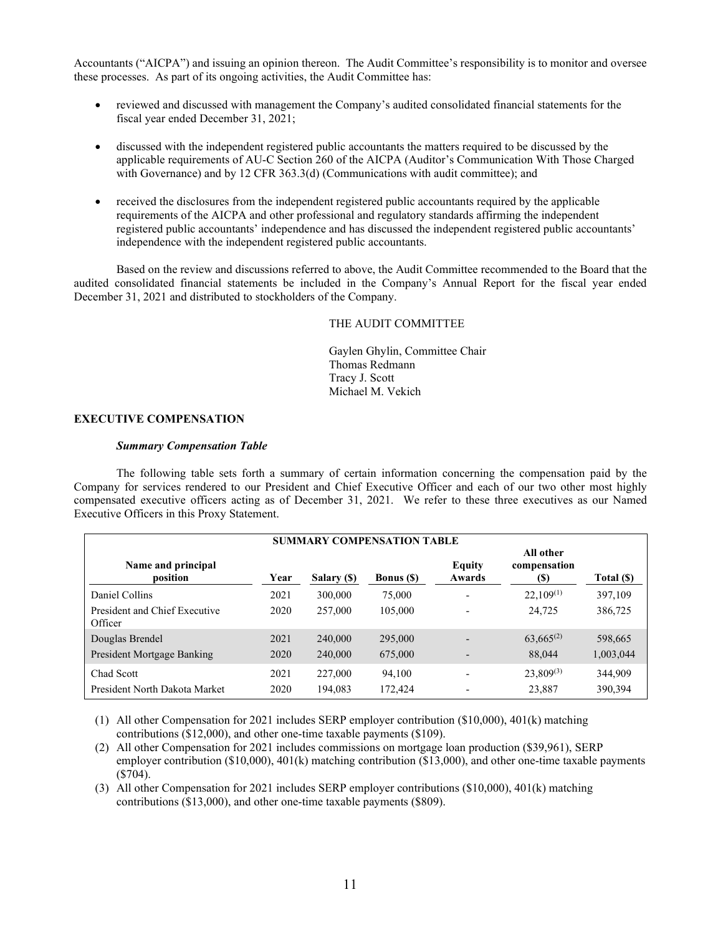Accountants ("AICPA") and issuing an opinion thereon. The Audit Committee's responsibility is to monitor and oversee these processes. As part of its ongoing activities, the Audit Committee has:

- reviewed and discussed with management the Company's audited consolidated financial statements for the fiscal year ended December 31, 2021;
- discussed with the independent registered public accountants the matters required to be discussed by the applicable requirements of AU-C Section 260 of the AICPA (Auditor's Communication With Those Charged with Governance) and by 12 CFR 363.3(d) (Communications with audit committee); and
- received the disclosures from the independent registered public accountants required by the applicable requirements of the AICPA and other professional and regulatory standards affirming the independent registered public accountants' independence and has discussed the independent registered public accountants' independence with the independent registered public accountants.

Based on the review and discussions referred to above, the Audit Committee recommended to the Board that the audited consolidated financial statements be included in the Company's Annual Report for the fiscal year ended December 31, 2021 and distributed to stockholders of the Company.

THE AUDIT COMMITTEE

Gaylen Ghylin, Committee Chair Thomas Redmann Tracy J. Scott Michael M. Vekich

## **EXECUTIVE COMPENSATION**

#### *Summary Compensation Table*

The following table sets forth a summary of certain information concerning the compensation paid by the Company for services rendered to our President and Chief Executive Officer and each of our two other most highly compensated executive officers acting as of December 31, 2021. We refer to these three executives as our Named Executive Officers in this Proxy Statement.

| <b>SUMMARY COMPENSATION TABLE</b>        |      |             |                   |                          |                                  |            |
|------------------------------------------|------|-------------|-------------------|--------------------------|----------------------------------|------------|
| Name and principal<br>position           | Year | Salary (\$) | <b>Bonus</b> (\$) | Equity<br>Awards         | All other<br>compensation<br>(S) | Total (\$) |
| Daniel Collins                           | 2021 | 300,000     | 75,000            | $\overline{\phantom{0}}$ | $22.109^{(1)}$                   | 397,109    |
| President and Chief Executive<br>Officer | 2020 | 257,000     | 105,000           |                          | 24.725                           | 386,725    |
| Douglas Brendel                          | 2021 | 240,000     | 295,000           |                          | $63,665^{(2)}$                   | 598,665    |
| President Mortgage Banking               | 2020 | 240,000     | 675,000           |                          | 88,044                           | 1,003,044  |
| Chad Scott                               | 2021 | 227,000     | 94.100            |                          | $23,809^{(3)}$                   | 344,909    |
| President North Dakota Market            | 2020 | 194,083     | 172,424           |                          | 23,887                           | 390,394    |

(1) All other Compensation for 2021 includes SERP employer contribution (\$10,000), 401(k) matching contributions (\$12,000), and other one-time taxable payments (\$109).

(2) All other Compensation for 2021 includes commissions on mortgage loan production (\$39,961), SERP employer contribution (\$10,000), 401(k) matching contribution (\$13,000), and other one-time taxable payments (\$704).

(3) All other Compensation for 2021 includes SERP employer contributions (\$10,000), 401(k) matching contributions (\$13,000), and other one-time taxable payments (\$809).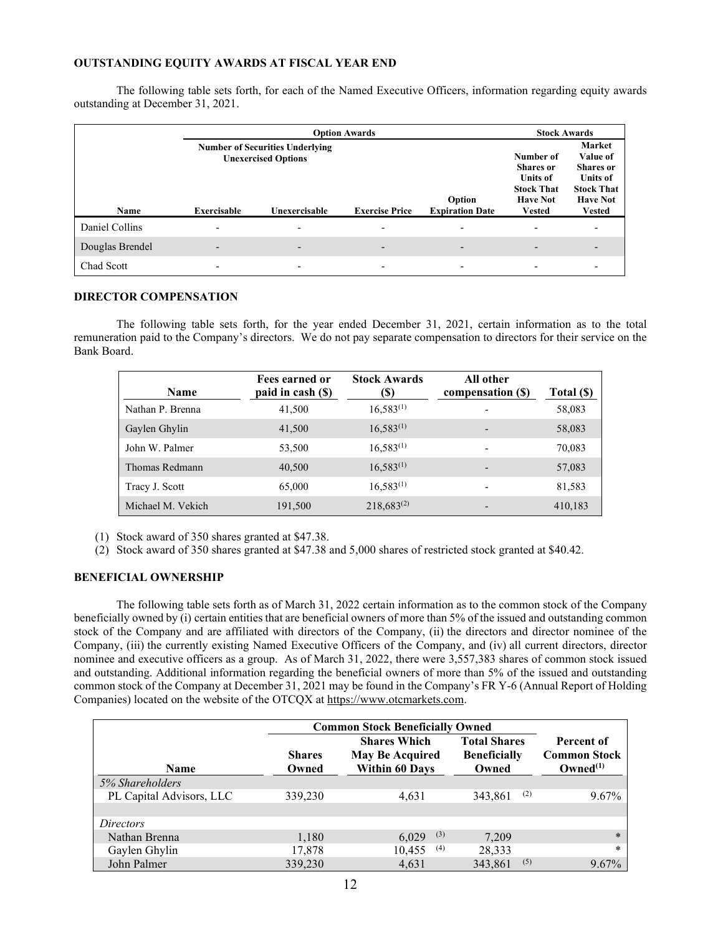## **OUTSTANDING EQUITY AWARDS AT FISCAL YEAR END**

The following table sets forth, for each of the Named Executive Officers, information regarding equity awards outstanding at December 31, 2021.

|                 |                                                                                | <b>Stock Awards</b>      |                              |                          |                          |                                                                                                          |
|-----------------|--------------------------------------------------------------------------------|--------------------------|------------------------------|--------------------------|--------------------------|----------------------------------------------------------------------------------------------------------|
|                 | <b>Number of Securities Underlying</b><br><b>Unexercised Options</b><br>Option |                          |                              |                          |                          | <b>Market</b><br>Value of<br><b>Shares</b> or<br><b>Units of</b><br><b>Stock That</b><br><b>Have Not</b> |
| Name            | <b>Exercisable</b>                                                             | Unexercisable            | <b>Exercise Price</b>        | <b>Expiration Date</b>   | <b>Vested</b>            | <b>Vested</b>                                                                                            |
| Daniel Collins  | $\overline{\phantom{0}}$                                                       | $\overline{\phantom{a}}$ | $\qquad \qquad \blacksquare$ | $\overline{\phantom{0}}$ | $\overline{\phantom{0}}$ |                                                                                                          |
| Douglas Brendel |                                                                                |                          |                              |                          |                          |                                                                                                          |
| Chad Scott      | $\overline{\phantom{a}}$                                                       |                          |                              |                          |                          |                                                                                                          |

#### **DIRECTOR COMPENSATION**

The following table sets forth, for the year ended December 31, 2021, certain information as to the total remuneration paid to the Company's directors. We do not pay separate compensation to directors for their service on the Bank Board.

| <b>Name</b>       | Fees earned or<br>paid in cash (\$) | <b>Stock Awards</b><br>(S) | All other<br>compensation (\$) | Total (\$) |
|-------------------|-------------------------------------|----------------------------|--------------------------------|------------|
| Nathan P. Brenna  | 41,500                              | $16,583^{(1)}$             |                                | 58,083     |
| Gaylen Ghylin     | 41,500                              | $16,583^{(1)}$             | -                              | 58,083     |
| John W. Palmer    | 53,500                              | $16,583^{(1)}$             | -                              | 70,083     |
| Thomas Redmann    | 40,500                              | $16,583^{(1)}$             |                                | 57,083     |
| Tracy J. Scott    | 65,000                              | $16,583^{(1)}$             |                                | 81,583     |
| Michael M. Vekich | 191,500                             | $218,683^{(2)}$            |                                | 410,183    |

(1) Stock award of 350 shares granted at \$47.38.

(2) Stock award of 350 shares granted at \$47.38 and 5,000 shares of restricted stock granted at \$40.42.

## **BENEFICIAL OWNERSHIP**

The following table sets forth as of March 31, 2022 certain information as to the common stock of the Company beneficially owned by (i) certain entities that are beneficial owners of more than 5% of the issued and outstanding common stock of the Company and are affiliated with directors of the Company, (ii) the directors and director nominee of the Company, (iii) the currently existing Named Executive Officers of the Company, and (iv) all current directors, director nominee and executive officers as a group. As of March 31, 2022, there were 3,557,383 shares of common stock issued and outstanding. Additional information regarding the beneficial owners of more than 5% of the issued and outstanding common stock of the Company at December 31, 2021 may be found in the Company's FR Y-6 (Annual Report of Holding Companies) located on the website of the OTCQX at https://www.otcmarkets.com.

|                          | <b>Common Stock Beneficially Owned</b> |                                                                        |                                                     |                                                    |  |  |
|--------------------------|----------------------------------------|------------------------------------------------------------------------|-----------------------------------------------------|----------------------------------------------------|--|--|
| Name                     | <b>Shares</b><br>Owned                 | <b>Shares Which</b><br><b>May Be Acquired</b><br><b>Within 60 Days</b> | <b>Total Shares</b><br><b>Beneficially</b><br>Owned | Percent of<br><b>Common Stock</b><br>$Owned^{(1)}$ |  |  |
| 5% Shareholders          |                                        |                                                                        |                                                     |                                                    |  |  |
| PL Capital Advisors, LLC | 339,230                                | 4.631                                                                  | (2)<br>343,861                                      | $9.67\%$                                           |  |  |
|                          |                                        |                                                                        |                                                     |                                                    |  |  |
| <i>Directors</i>         |                                        |                                                                        |                                                     |                                                    |  |  |
| Nathan Brenna            | 1,180                                  | (3)<br>6.029                                                           | 7,209                                               | $\ast$                                             |  |  |
| Gaylen Ghylin            | 17,878                                 | (4)<br>10,455                                                          | 28,333                                              | $\ast$                                             |  |  |
| John Palmer              | 339,230                                | 4.631                                                                  | (5)<br>343,861                                      | $9.67\%$                                           |  |  |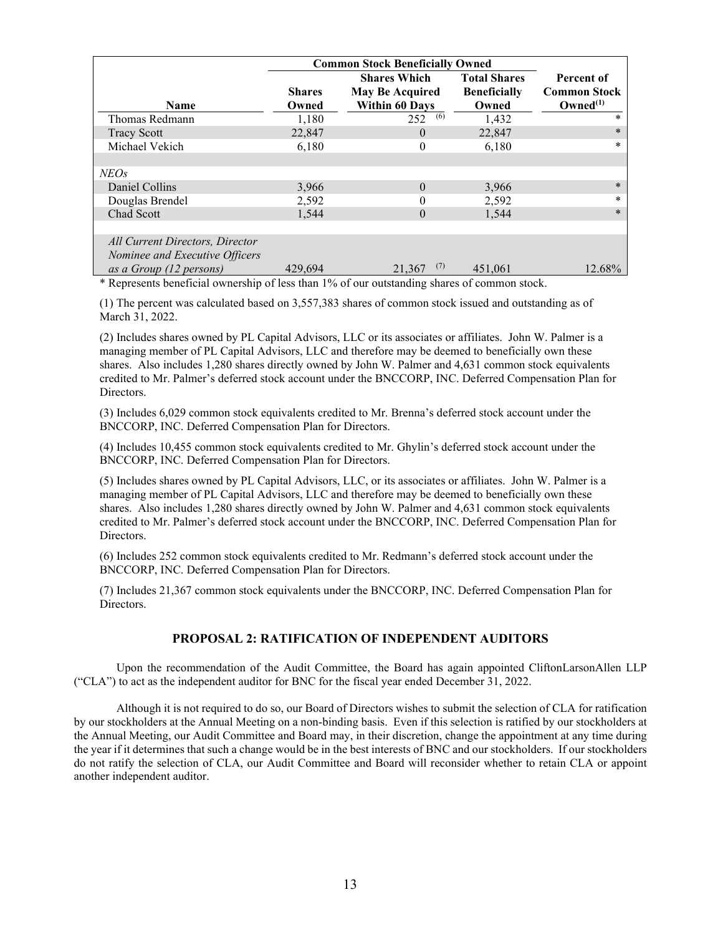|                                                                   | <b>Common Stock Beneficially Owned</b> |                                                                        |                                                     |                                                           |
|-------------------------------------------------------------------|----------------------------------------|------------------------------------------------------------------------|-----------------------------------------------------|-----------------------------------------------------------|
| <b>Name</b>                                                       | <b>Shares</b><br>Owned                 | <b>Shares Which</b><br><b>May Be Acquired</b><br><b>Within 60 Days</b> | <b>Total Shares</b><br><b>Beneficially</b><br>Owned | Percent of<br><b>Common Stock</b><br>Owned <sup>(1)</sup> |
| Thomas Redmann                                                    | 1,180                                  | (6)<br>252                                                             | 1,432                                               | $\ast$                                                    |
| <b>Tracy Scott</b>                                                | 22,847                                 | $\theta$                                                               | 22,847                                              | $\ast$                                                    |
| Michael Vekich                                                    | 6,180                                  | 0                                                                      | 6,180                                               | $\ast$                                                    |
|                                                                   |                                        |                                                                        |                                                     |                                                           |
| <b>NEOs</b>                                                       |                                        |                                                                        |                                                     |                                                           |
| Daniel Collins                                                    | 3,966                                  | $\theta$                                                               | 3,966                                               | $\ast$                                                    |
| Douglas Brendel                                                   | 2,592                                  | 0                                                                      | 2,592                                               | $\ast$                                                    |
| Chad Scott                                                        | 1,544                                  | $\theta$                                                               | 1,544                                               | $\ast$                                                    |
|                                                                   |                                        |                                                                        |                                                     |                                                           |
| All Current Directors, Director<br>Nominee and Executive Officers |                                        |                                                                        |                                                     |                                                           |
| as a Group (12 persons)                                           | 429,694                                | (7)<br>21,367                                                          | 451,061                                             | 12.68%                                                    |

\* Represents beneficial ownership of less than 1% of our outstanding shares of common stock.

(1) The percent was calculated based on 3,557,383 shares of common stock issued and outstanding as of March 31, 2022.

(2) Includes shares owned by PL Capital Advisors, LLC or its associates or affiliates. John W. Palmer is a managing member of PL Capital Advisors, LLC and therefore may be deemed to beneficially own these shares. Also includes 1,280 shares directly owned by John W. Palmer and 4,631 common stock equivalents credited to Mr. Palmer's deferred stock account under the BNCCORP, INC. Deferred Compensation Plan for Directors.

(3) Includes 6,029 common stock equivalents credited to Mr. Brenna's deferred stock account under the BNCCORP, INC. Deferred Compensation Plan for Directors.

(4) Includes 10,455 common stock equivalents credited to Mr. Ghylin's deferred stock account under the BNCCORP, INC. Deferred Compensation Plan for Directors.

(5) Includes shares owned by PL Capital Advisors, LLC, or its associates or affiliates. John W. Palmer is a managing member of PL Capital Advisors, LLC and therefore may be deemed to beneficially own these shares. Also includes 1,280 shares directly owned by John W. Palmer and 4,631 common stock equivalents credited to Mr. Palmer's deferred stock account under the BNCCORP, INC. Deferred Compensation Plan for Directors.

(6) Includes 252 common stock equivalents credited to Mr. Redmann's deferred stock account under the BNCCORP, INC. Deferred Compensation Plan for Directors.

(7) Includes 21,367 common stock equivalents under the BNCCORP, INC. Deferred Compensation Plan for Directors.

# **PROPOSAL 2: RATIFICATION OF INDEPENDENT AUDITORS**

Upon the recommendation of the Audit Committee, the Board has again appointed CliftonLarsonAllen LLP ("CLA") to act as the independent auditor for BNC for the fiscal year ended December 31, 2022.

Although it is not required to do so, our Board of Directors wishes to submit the selection of CLA for ratification by our stockholders at the Annual Meeting on a non-binding basis. Even if this selection is ratified by our stockholders at the Annual Meeting, our Audit Committee and Board may, in their discretion, change the appointment at any time during the year if it determines that such a change would be in the best interests of BNC and our stockholders. If our stockholders do not ratify the selection of CLA, our Audit Committee and Board will reconsider whether to retain CLA or appoint another independent auditor.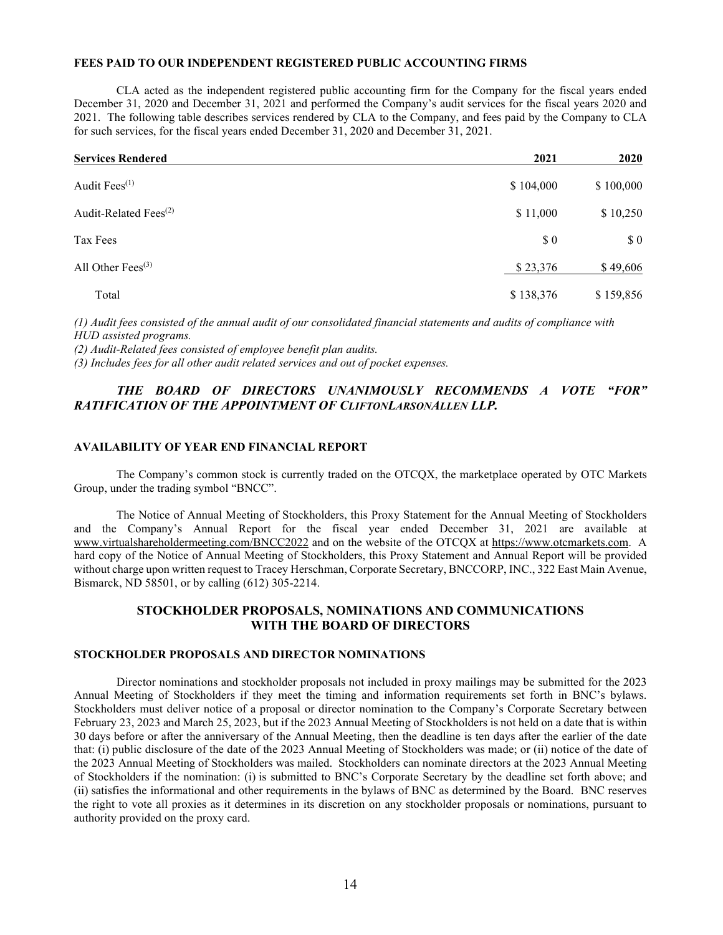#### **FEES PAID TO OUR INDEPENDENT REGISTERED PUBLIC ACCOUNTING FIRMS**

CLA acted as the independent registered public accounting firm for the Company for the fiscal years ended December 31, 2020 and December 31, 2021 and performed the Company's audit services for the fiscal years 2020 and 2021. The following table describes services rendered by CLA to the Company, and fees paid by the Company to CLA for such services, for the fiscal years ended December 31, 2020 and December 31, 2021.

| <b>Services Rendered</b>          | 2021                 | <b>2020</b> |
|-----------------------------------|----------------------|-------------|
| Audit Fees <sup>(1)</sup>         | \$104,000            | \$100,000   |
| Audit-Related Fees <sup>(2)</sup> | \$11,000             | \$10,250    |
| Tax Fees                          | $\boldsymbol{\$}\ 0$ | \$0         |
| All Other Fees $(3)$              | \$23,376             | \$49,606    |
| Total                             | \$138,376            | \$159,856   |

*(1) Audit fees consisted of the annual audit of our consolidated financial statements and audits of compliance with HUD assisted programs.*

*(2) Audit-Related fees consisted of employee benefit plan audits.*

*(3) Includes fees for all other audit related services and out of pocket expenses.*

# *THE BOARD OF DIRECTORS UNANIMOUSLY RECOMMENDS A VOTE "FOR" RATIFICATION OF THE APPOINTMENT OF CLIFTONLARSONALLEN LLP.*

## **AVAILABILITY OF YEAR END FINANCIAL REPORT**

The Company's common stock is currently traded on the OTCQX, the marketplace operated by OTC Markets Group, under the trading symbol "BNCC".

The Notice of Annual Meeting of Stockholders, this Proxy Statement for the Annual Meeting of Stockholders and the Company's Annual Report for the fiscal year ended December 31, 2021 are available at www.virtualshareholdermeeting.com/BNCC2022 and on the website of the OTCQX at https://www.otcmarkets.com. A hard copy of the Notice of Annual Meeting of Stockholders, this Proxy Statement and Annual Report will be provided without charge upon written request to Tracey Herschman, Corporate Secretary, BNCCORP, INC., 322 East Main Avenue, Bismarck, ND 58501, or by calling (612) 305-2214.

# **STOCKHOLDER PROPOSALS, NOMINATIONS AND COMMUNICATIONS WITH THE BOARD OF DIRECTORS**

### **STOCKHOLDER PROPOSALS AND DIRECTOR NOMINATIONS**

Director nominations and stockholder proposals not included in proxy mailings may be submitted for the 2023 Annual Meeting of Stockholders if they meet the timing and information requirements set forth in BNC's bylaws. Stockholders must deliver notice of a proposal or director nomination to the Company's Corporate Secretary between February 23, 2023 and March 25, 2023, but if the 2023 Annual Meeting of Stockholders is not held on a date that is within 30 days before or after the anniversary of the Annual Meeting, then the deadline is ten days after the earlier of the date that: (i) public disclosure of the date of the 2023 Annual Meeting of Stockholders was made; or (ii) notice of the date of the 2023 Annual Meeting of Stockholders was mailed. Stockholders can nominate directors at the 2023 Annual Meeting of Stockholders if the nomination: (i) is submitted to BNC's Corporate Secretary by the deadline set forth above; and (ii) satisfies the informational and other requirements in the bylaws of BNC as determined by the Board. BNC reserves the right to vote all proxies as it determines in its discretion on any stockholder proposals or nominations, pursuant to authority provided on the proxy card.